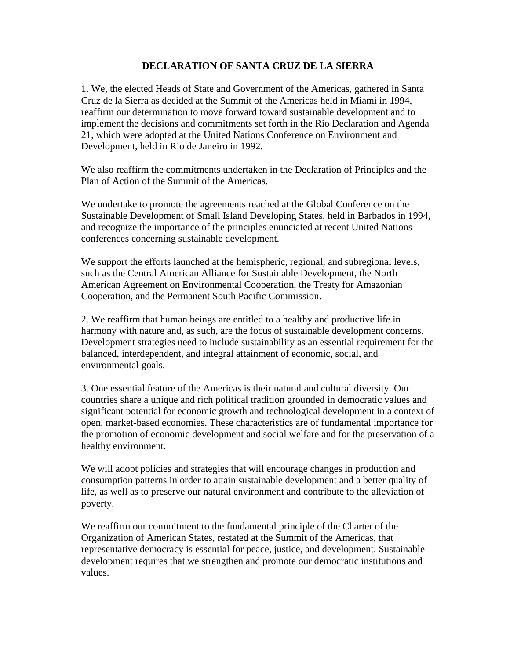# **DECLARATION OF SANTA CRUZ DE LA SIERRA**

1. We, the elected Heads of State and Government of the Americas, gathered in Santa Cruz de la Sierra as decided at the Summit of the Americas held in Miami in 1994, reaffirm our determination to move forward toward sustainable development and to implement the decisions and commitments set forth in the Rio Declaration and Agenda 21, which were adopted at the United Nations Conference on Environment and Development, held in Rio de Janeiro in 1992.

We also reaffirm the commitments undertaken in the Declaration of Principles and the Plan of Action of the Summit of the Americas.

We undertake to promote the agreements reached at the Global Conference on the Sustainable Development of Small Island Developing States, held in Barbados in 1994, and recognize the importance of the principles enunciated at recent United Nations conferences concerning sustainable development.

We support the efforts launched at the hemispheric, regional, and subregional levels, such as the Central American Alliance for Sustainable Development, the North American Agreement on Environmental Cooperation, the Treaty for Amazonian Cooperation, and the Permanent South Pacific Commission.

2. We reaffirm that human beings are entitled to a healthy and productive life in harmony with nature and, as such, are the focus of sustainable development concerns. Development strategies need to include sustainability as an essential requirement for the balanced, interdependent, and integral attainment of economic, social, and environmental goals.

3. One essential feature of the Americas is their natural and cultural diversity. Our countries share a unique and rich political tradition grounded in democratic values and significant potential for economic growth and technological development in a context of open, market-based economies. These characteristics are of fundamental importance for the promotion of economic development and social welfare and for the preservation of a healthy environment.

We will adopt policies and strategies that will encourage changes in production and consumption patterns in order to attain sustainable development and a better quality of life, as well as to preserve our natural environment and contribute to the alleviation of poverty.

We reaffirm our commitment to the fundamental principle of the Charter of the Organization of American States, restated at the Summit of the Americas, that representative democracy is essential for peace, justice, and development. Sustainable development requires that we strengthen and promote our democratic institutions and values.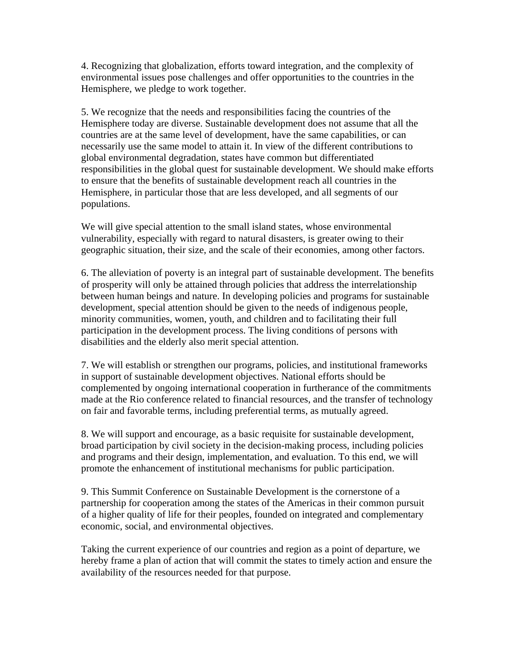4. Recognizing that globalization, efforts toward integration, and the complexity of environmental issues pose challenges and offer opportunities to the countries in the Hemisphere, we pledge to work together.

5. We recognize that the needs and responsibilities facing the countries of the Hemisphere today are diverse. Sustainable development does not assume that all the countries are at the same level of development, have the same capabilities, or can necessarily use the same model to attain it. In view of the different contributions to global environmental degradation, states have common but differentiated responsibilities in the global quest for sustainable development. We should make efforts to ensure that the benefits of sustainable development reach all countries in the Hemisphere, in particular those that are less developed, and all segments of our populations.

We will give special attention to the small island states, whose environmental vulnerability, especially with regard to natural disasters, is greater owing to their geographic situation, their size, and the scale of their economies, among other factors.

6. The alleviation of poverty is an integral part of sustainable development. The benefits of prosperity will only be attained through policies that address the interrelationship between human beings and nature. In developing policies and programs for sustainable development, special attention should be given to the needs of indigenous people, minority communities, women, youth, and children and to facilitating their full participation in the development process. The living conditions of persons with disabilities and the elderly also merit special attention.

7. We will establish or strengthen our programs, policies, and institutional frameworks in support of sustainable development objectives. National efforts should be complemented by ongoing international cooperation in furtherance of the commitments made at the Rio conference related to financial resources, and the transfer of technology on fair and favorable terms, including preferential terms, as mutually agreed.

8. We will support and encourage, as a basic requisite for sustainable development, broad participation by civil society in the decision-making process, including policies and programs and their design, implementation, and evaluation. To this end, we will promote the enhancement of institutional mechanisms for public participation.

9. This Summit Conference on Sustainable Development is the cornerstone of a partnership for cooperation among the states of the Americas in their common pursuit of a higher quality of life for their peoples, founded on integrated and complementary economic, social, and environmental objectives.

Taking the current experience of our countries and region as a point of departure, we hereby frame a plan of action that will commit the states to timely action and ensure the availability of the resources needed for that purpose.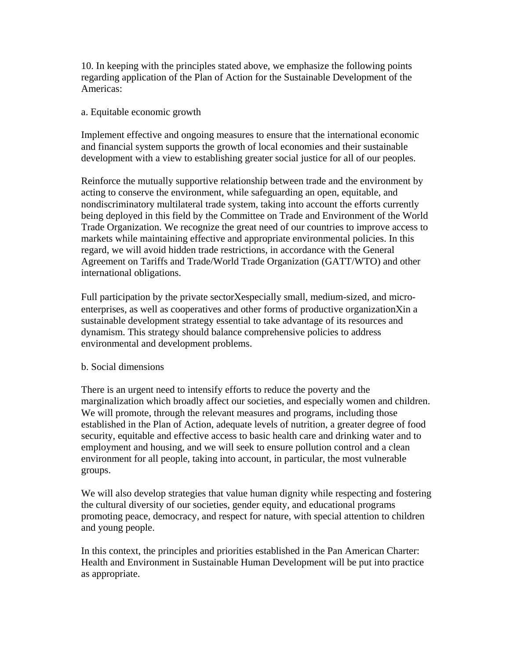10. In keeping with the principles stated above, we emphasize the following points regarding application of the Plan of Action for the Sustainable Development of the Americas:

## a. Equitable economic growth

Implement effective and ongoing measures to ensure that the international economic and financial system supports the growth of local economies and their sustainable development with a view to establishing greater social justice for all of our peoples.

Reinforce the mutually supportive relationship between trade and the environment by acting to conserve the environment, while safeguarding an open, equitable, and nondiscriminatory multilateral trade system, taking into account the efforts currently being deployed in this field by the Committee on Trade and Environment of the World Trade Organization. We recognize the great need of our countries to improve access to markets while maintaining effective and appropriate environmental policies. In this regard, we will avoid hidden trade restrictions, in accordance with the General Agreement on Tariffs and Trade/World Trade Organization (GATT/WTO) and other international obligations.

Full participation by the private sectorΧespecially small, medium-sized, and microenterprises, as well as cooperatives and other forms of productive organizationΧin a sustainable development strategy essential to take advantage of its resources and dynamism. This strategy should balance comprehensive policies to address environmental and development problems.

#### b. Social dimensions

There is an urgent need to intensify efforts to reduce the poverty and the marginalization which broadly affect our societies, and especially women and children. We will promote, through the relevant measures and programs, including those established in the Plan of Action, adequate levels of nutrition, a greater degree of food security, equitable and effective access to basic health care and drinking water and to employment and housing, and we will seek to ensure pollution control and a clean environment for all people, taking into account, in particular, the most vulnerable groups.

We will also develop strategies that value human dignity while respecting and fostering the cultural diversity of our societies, gender equity, and educational programs promoting peace, democracy, and respect for nature, with special attention to children and young people.

In this context, the principles and priorities established in the Pan American Charter: Health and Environment in Sustainable Human Development will be put into practice as appropriate.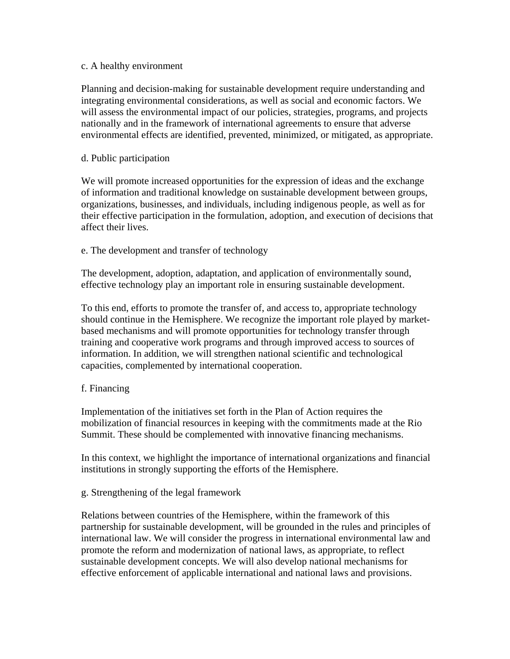#### c. A healthy environment

Planning and decision-making for sustainable development require understanding and integrating environmental considerations, as well as social and economic factors. We will assess the environmental impact of our policies, strategies, programs, and projects nationally and in the framework of international agreements to ensure that adverse environmental effects are identified, prevented, minimized, or mitigated, as appropriate.

## d. Public participation

We will promote increased opportunities for the expression of ideas and the exchange of information and traditional knowledge on sustainable development between groups, organizations, businesses, and individuals, including indigenous people, as well as for their effective participation in the formulation, adoption, and execution of decisions that affect their lives.

# e. The development and transfer of technology

The development, adoption, adaptation, and application of environmentally sound, effective technology play an important role in ensuring sustainable development.

To this end, efforts to promote the transfer of, and access to, appropriate technology should continue in the Hemisphere. We recognize the important role played by marketbased mechanisms and will promote opportunities for technology transfer through training and cooperative work programs and through improved access to sources of information. In addition, we will strengthen national scientific and technological capacities, complemented by international cooperation.

## f. Financing

Implementation of the initiatives set forth in the Plan of Action requires the mobilization of financial resources in keeping with the commitments made at the Rio Summit. These should be complemented with innovative financing mechanisms.

In this context, we highlight the importance of international organizations and financial institutions in strongly supporting the efforts of the Hemisphere.

## g. Strengthening of the legal framework

Relations between countries of the Hemisphere, within the framework of this partnership for sustainable development, will be grounded in the rules and principles of international law. We will consider the progress in international environmental law and promote the reform and modernization of national laws, as appropriate, to reflect sustainable development concepts. We will also develop national mechanisms for effective enforcement of applicable international and national laws and provisions.